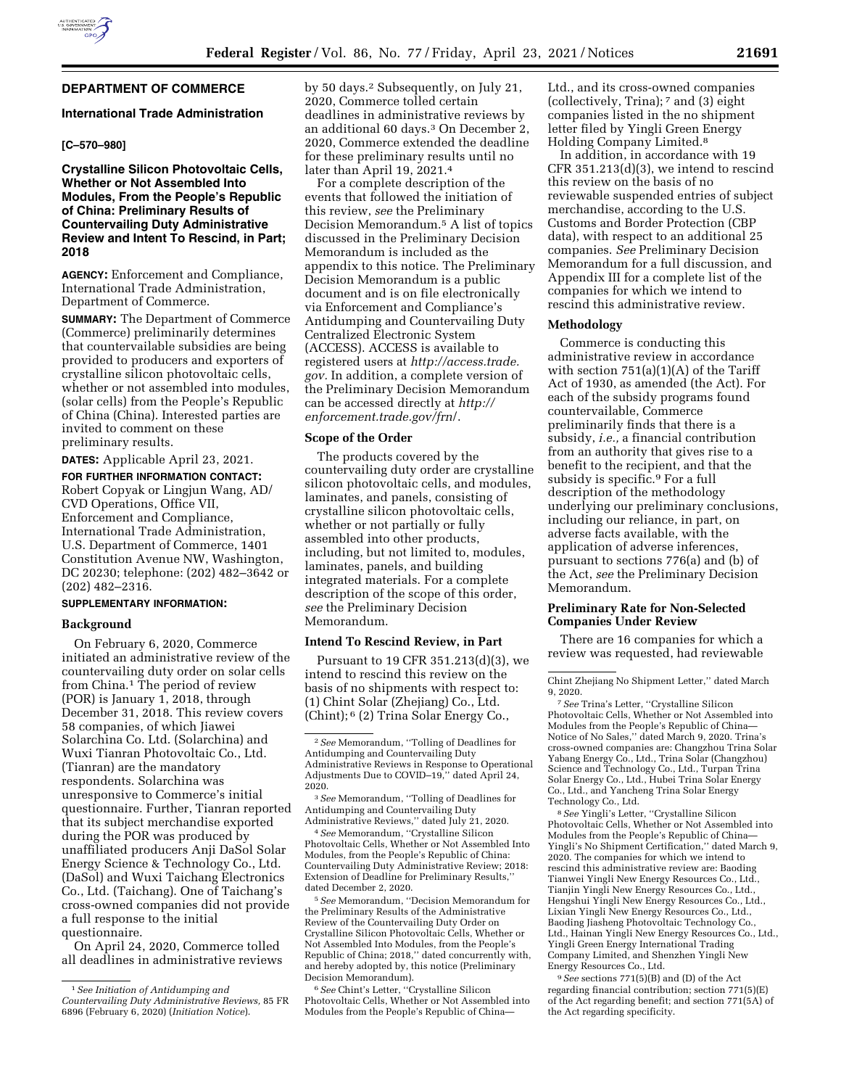# **DEPARTMENT OF COMMERCE**

#### **International Trade Administration**

# **[C–570–980]**

# **Crystalline Silicon Photovoltaic Cells, Whether or Not Assembled Into Modules, From the People's Republic of China: Preliminary Results of Countervailing Duty Administrative Review and Intent To Rescind, in Part; 2018**

**AGENCY:** Enforcement and Compliance, International Trade Administration, Department of Commerce.

**SUMMARY:** The Department of Commerce (Commerce) preliminarily determines that countervailable subsidies are being provided to producers and exporters of crystalline silicon photovoltaic cells, whether or not assembled into modules, (solar cells) from the People's Republic of China (China). Interested parties are invited to comment on these preliminary results.

**DATES:** Applicable April 23, 2021.

**FOR FURTHER INFORMATION CONTACT:**  Robert Copyak or Lingjun Wang, AD/ CVD Operations, Office VII, Enforcement and Compliance, International Trade Administration, U.S. Department of Commerce, 1401 Constitution Avenue NW, Washington, DC 20230; telephone: (202) 482–3642 or (202) 482–2316.

## **SUPPLEMENTARY INFORMATION:**

# **Background**

On February 6, 2020, Commerce initiated an administrative review of the countervailing duty order on solar cells from China.<sup>1</sup> The period of review (POR) is January 1, 2018, through December 31, 2018. This review covers 58 companies, of which Jiawei Solarchina Co. Ltd. (Solarchina) and Wuxi Tianran Photovoltaic Co., Ltd. (Tianran) are the mandatory respondents. Solarchina was unresponsive to Commerce's initial questionnaire. Further, Tianran reported that its subject merchandise exported during the POR was produced by unaffiliated producers Anji DaSol Solar Energy Science & Technology Co., Ltd. (DaSol) and Wuxi Taichang Electronics Co., Ltd. (Taichang). One of Taichang's cross-owned companies did not provide a full response to the initial questionnaire.

On April 24, 2020, Commerce tolled all deadlines in administrative reviews by 50 days.2 Subsequently, on July 21, 2020, Commerce tolled certain deadlines in administrative reviews by an additional 60 days.3 On December 2, 2020, Commerce extended the deadline for these preliminary results until no later than April 19, 2021.4

For a complete description of the events that followed the initiation of this review, *see* the Preliminary Decision Memorandum.5 A list of topics discussed in the Preliminary Decision Memorandum is included as the appendix to this notice. The Preliminary Decision Memorandum is a public document and is on file electronically via Enforcement and Compliance's Antidumping and Countervailing Duty Centralized Electronic System (ACCESS). ACCESS is available to registered users at *[http://access.trade.](http://access.trade.gov) [gov.](http://access.trade.gov)* In addition, a complete version of the Preliminary Decision Memorandum can be accessed directly at *[http://](http://enforcement.trade.gov/frn/) [enforcement.trade.gov/frn](http://enforcement.trade.gov/frn/)*/.

#### **Scope of the Order**

The products covered by the countervailing duty order are crystalline silicon photovoltaic cells, and modules, laminates, and panels, consisting of crystalline silicon photovoltaic cells, whether or not partially or fully assembled into other products, including, but not limited to, modules, laminates, panels, and building integrated materials. For a complete description of the scope of this order, *see* the Preliminary Decision Memorandum.

# **Intend To Rescind Review, in Part**

Pursuant to 19 CFR 351.213(d)(3), we intend to rescind this review on the basis of no shipments with respect to: (1) Chint Solar (Zhejiang) Co., Ltd. (Chint); 6 (2) Trina Solar Energy Co.,

4*See* Memorandum, ''Crystalline Silicon Photovoltaic Cells, Whether or Not Assembled Into Modules, from the People's Republic of China: Countervailing Duty Administrative Review; 2018: Extension of Deadline for Preliminary Results,'' dated December 2, 2020.

5*See* Memorandum, ''Decision Memorandum for the Preliminary Results of the Administrative Review of the Countervailing Duty Order on Crystalline Silicon Photovoltaic Cells, Whether or Not Assembled Into Modules, from the People's Republic of China; 2018,'' dated concurrently with, and hereby adopted by, this notice (Preliminary Decision Memorandum).

6*See* Chint's Letter, ''Crystalline Silicon Photovoltaic Cells, Whether or Not Assembled into Modules from the People's Republic of ChinaLtd., and its cross-owned companies (collectively, Trina); 7 and (3) eight companies listed in the no shipment letter filed by Yingli Green Energy Holding Company Limited.8

In addition, in accordance with 19 CFR 351.213(d)(3), we intend to rescind this review on the basis of no reviewable suspended entries of subject merchandise, according to the U.S. Customs and Border Protection (CBP data), with respect to an additional 25 companies. *See* Preliminary Decision Memorandum for a full discussion, and Appendix III for a complete list of the companies for which we intend to rescind this administrative review.

#### **Methodology**

Commerce is conducting this administrative review in accordance with section  $751(a)(1)(A)$  of the Tariff Act of 1930, as amended (the Act). For each of the subsidy programs found countervailable, Commerce preliminarily finds that there is a subsidy, *i.e.,* a financial contribution from an authority that gives rise to a benefit to the recipient, and that the subsidy is specific.<sup>9</sup> For a full description of the methodology underlying our preliminary conclusions, including our reliance, in part, on adverse facts available, with the application of adverse inferences, pursuant to sections 776(a) and (b) of the Act, *see* the Preliminary Decision Memorandum.

#### **Preliminary Rate for Non-Selected Companies Under Review**

There are 16 companies for which a review was requested, had reviewable

7*See* Trina's Letter, ''Crystalline Silicon Photovoltaic Cells, Whether or Not Assembled into Modules from the People's Republic of China— Notice of No Sales,'' dated March 9, 2020. Trina's cross-owned companies are: Changzhou Trina Solar Yabang Energy Co., Ltd., Trina Solar (Changzhou) Science and Technology Co., Ltd., Turpan Trina Solar Energy Co., Ltd., Hubei Trina Solar Energy Co., Ltd., and Yancheng Trina Solar Energy Technology Co., Ltd.

8*See* Yingli's Letter, ''Crystalline Silicon Photovoltaic Cells, Whether or Not Assembled into Modules from the People's Republic of China— Yingli's No Shipment Certification,'' dated March 9, 2020. The companies for which we intend to rescind this administrative review are: Baoding Tianwei Yingli New Energy Resources Co., Ltd., Tianjin Yingli New Energy Resources Co., Ltd., Hengshui Yingli New Energy Resources Co., Ltd., Lixian Yingli New Energy Resources Co., Ltd., Baoding Jiasheng Photovoltaic Technology Co., Ltd., Hainan Yingli New Energy Resources Co., Ltd., Yingli Green Energy International Trading Company Limited, and Shenzhen Yingli New Energy Resources Co., Ltd.

9*See* sections 771(5)(B) and (D) of the Act regarding financial contribution; section 771(5)(E) of the Act regarding benefit; and section 771(5A) of the Act regarding specificity.

<sup>1</sup>*See Initiation of Antidumping and Countervailing Duty Administrative Reviews,* 85 FR 6896 (February 6, 2020) (*Initiation Notice*).

<sup>2</sup>*See* Memorandum, ''Tolling of Deadlines for Antidumping and Countervailing Duty Administrative Reviews in Response to Operational Adjustments Due to COVID–19,'' dated April 24, 2020.

<sup>3</sup>*See* Memorandum, ''Tolling of Deadlines for Antidumping and Countervailing Duty Administrative Reviews,'' dated July 21, 2020.

Chint Zhejiang No Shipment Letter,'' dated March 9, 2020.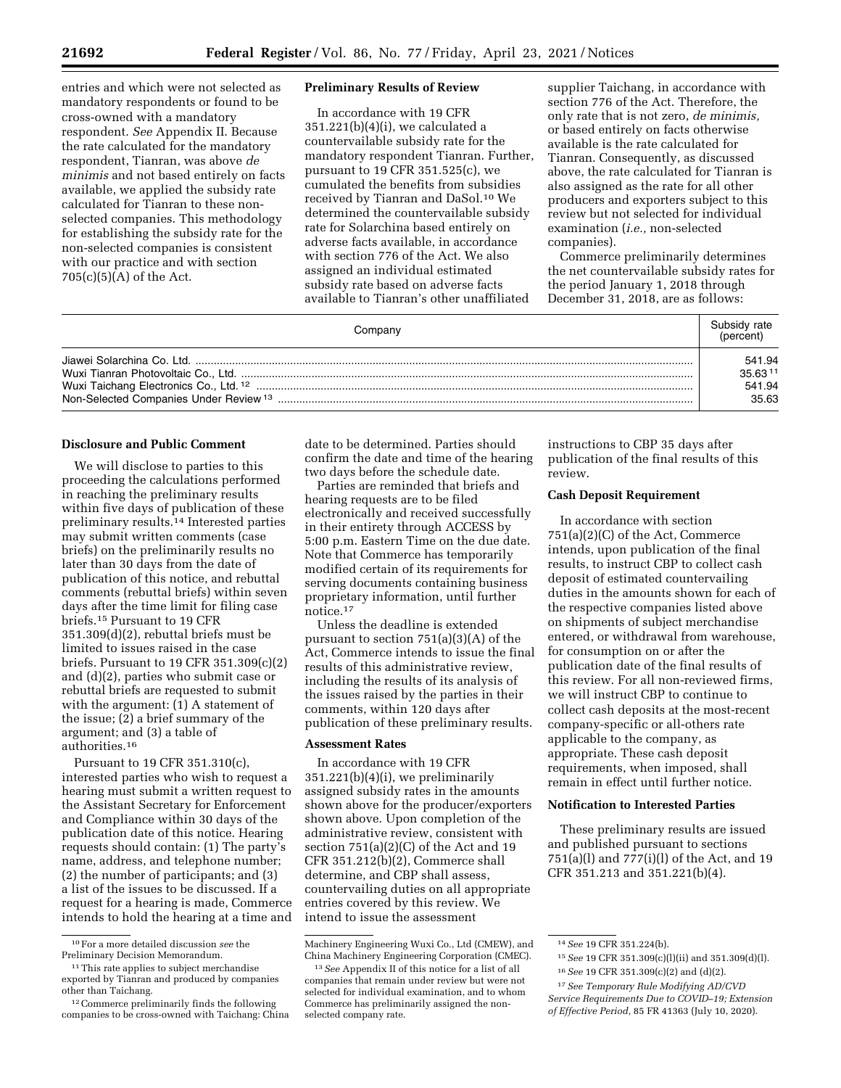entries and which were not selected as mandatory respondents or found to be cross-owned with a mandatory respondent. *See* Appendix II. Because the rate calculated for the mandatory respondent, Tianran, was above *de minimis* and not based entirely on facts available, we applied the subsidy rate calculated for Tianran to these nonselected companies. This methodology for establishing the subsidy rate for the non-selected companies is consistent with our practice and with section  $705(c)(5)(A)$  of the Act.

#### **Preliminary Results of Review**

In accordance with 19 CFR 351.221(b)(4)(i), we calculated a countervailable subsidy rate for the mandatory respondent Tianran. Further, pursuant to 19 CFR 351.525(c), we cumulated the benefits from subsidies received by Tianran and DaSol.10 We determined the countervailable subsidy rate for Solarchina based entirely on adverse facts available, in accordance with section 776 of the Act. We also assigned an individual estimated subsidy rate based on adverse facts available to Tianran's other unaffiliated

supplier Taichang, in accordance with section 776 of the Act. Therefore, the only rate that is not zero, *de minimis,*  or based entirely on facts otherwise available is the rate calculated for Tianran. Consequently, as discussed above, the rate calculated for Tianran is also assigned as the rate for all other producers and exporters subject to this review but not selected for individual examination (*i.e.,* non-selected companies).

Commerce preliminarily determines the net countervailable subsidy rates for the period January 1, 2018 through December 31, 2018, are as follows:

| Company | Subsidy rate<br>(percent) |
|---------|---------------------------|
|         | 541.94                    |
|         | 35.6311                   |
|         | 541.94                    |
|         | 35.63                     |

# **Disclosure and Public Comment**

We will disclose to parties to this proceeding the calculations performed in reaching the preliminary results within five days of publication of these preliminary results.14 Interested parties may submit written comments (case briefs) on the preliminarily results no later than 30 days from the date of publication of this notice, and rebuttal comments (rebuttal briefs) within seven days after the time limit for filing case briefs.15 Pursuant to 19 CFR 351.309(d)(2), rebuttal briefs must be limited to issues raised in the case briefs. Pursuant to 19 CFR 351.309(c)(2) and (d)(2), parties who submit case or rebuttal briefs are requested to submit with the argument: (1) A statement of the issue; (2) a brief summary of the argument; and (3) a table of authorities.16

Pursuant to 19 CFR 351.310(c), interested parties who wish to request a hearing must submit a written request to the Assistant Secretary for Enforcement and Compliance within 30 days of the publication date of this notice. Hearing requests should contain: (1) The party's name, address, and telephone number; (2) the number of participants; and (3) a list of the issues to be discussed. If a request for a hearing is made, Commerce intends to hold the hearing at a time and date to be determined. Parties should confirm the date and time of the hearing two days before the schedule date.

Parties are reminded that briefs and hearing requests are to be filed electronically and received successfully in their entirety through ACCESS by 5:00 p.m. Eastern Time on the due date. Note that Commerce has temporarily modified certain of its requirements for serving documents containing business proprietary information, until further notice.17

Unless the deadline is extended pursuant to section 751(a)(3)(A) of the Act, Commerce intends to issue the final results of this administrative review, including the results of its analysis of the issues raised by the parties in their comments, within 120 days after publication of these preliminary results.

#### **Assessment Rates**

In accordance with 19 CFR 351.221(b)(4)(i), we preliminarily assigned subsidy rates in the amounts shown above for the producer/exporters shown above. Upon completion of the administrative review, consistent with section 751(a)(2)(C) of the Act and 19 CFR 351.212(b)(2), Commerce shall determine, and CBP shall assess, countervailing duties on all appropriate entries covered by this review. We intend to issue the assessment

instructions to CBP 35 days after publication of the final results of this review.

### **Cash Deposit Requirement**

In accordance with section 751(a)(2)(C) of the Act, Commerce intends, upon publication of the final results, to instruct CBP to collect cash deposit of estimated countervailing duties in the amounts shown for each of the respective companies listed above on shipments of subject merchandise entered, or withdrawal from warehouse, for consumption on or after the publication date of the final results of this review. For all non-reviewed firms, we will instruct CBP to continue to collect cash deposits at the most-recent company-specific or all-others rate applicable to the company, as appropriate. These cash deposit requirements, when imposed, shall remain in effect until further notice.

### **Notification to Interested Parties**

These preliminary results are issued and published pursuant to sections 751(a)(l) and 777(i)(l) of the Act, and 19 CFR 351.213 and 351.221(b)(4).

<sup>10</sup>For a more detailed discussion *see* the Preliminary Decision Memorandum.

<sup>&</sup>lt;sup>11</sup>This rate applies to subject merchandise exported by Tianran and produced by companies other than Taichang.

<sup>12</sup>Commerce preliminarily finds the following companies to be cross-owned with Taichang: China

Machinery Engineering Wuxi Co., Ltd (CMEW), and China Machinery Engineering Corporation (CMEC).

<sup>13</sup>*See* Appendix II of this notice for a list of all companies that remain under review but were not selected for individual examination, and to whom Commerce has preliminarily assigned the nonselected company rate.

<sup>14</sup>*See* 19 CFR 351.224(b).

<sup>15</sup>*See* 19 CFR 351.309(c)(l)(ii) and 351.309(d)(l).

<sup>16</sup>*See* 19 CFR 351.309(c)(2) and (d)(2).

<sup>17</sup>*See Temporary Rule Modifying AD/CVD Service Requirements Due to COVID–19; Extension of Effective Period,* 85 FR 41363 (July 10, 2020).